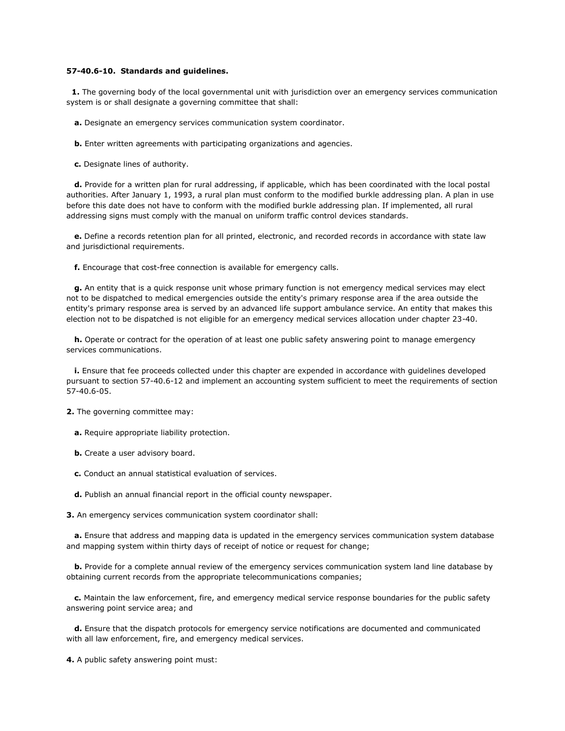## **57-40.6-10. Standards and guidelines.**

 **1.** The governing body of the local governmental unit with jurisdiction over an emergency services communication system is or shall designate a governing committee that shall:

- **a.** Designate an emergency services communication system coordinator.
- **b.** Enter written agreements with participating organizations and agencies.

**c.** Designate lines of authority.

 **d.** Provide for a written plan for rural addressing, if applicable, which has been coordinated with the local postal authorities. After January 1, 1993, a rural plan must conform to the modified burkle addressing plan. A plan in use before this date does not have to conform with the modified burkle addressing plan. If implemented, all rural addressing signs must comply with the manual on uniform traffic control devices standards.

 **e.** Define a records retention plan for all printed, electronic, and recorded records in accordance with state law and jurisdictional requirements.

**f.** Encourage that cost-free connection is available for emergency calls.

 **g.** An entity that is a quick response unit whose primary function is not emergency medical services may elect not to be dispatched to medical emergencies outside the entity's primary response area if the area outside the entity's primary response area is served by an advanced life support ambulance service. An entity that makes this election not to be dispatched is not eligible for an emergency medical services allocation under chapter 23-40.

 **h.** Operate or contract for the operation of at least one public safety answering point to manage emergency services communications.

 **i.** Ensure that fee proceeds collected under this chapter are expended in accordance with guidelines developed pursuant to [section 57-40.6-12](http://www.lexis.com/research/buttonTFLink?_m=0f9a7df86c1050305dd207c339de9ee2&_xfercite=%3ccite%20cc%3d%22USA%22%3e%3c%21%5bCDATA%5bN.D.%20Cent.%20Code%2c%20%a7%2057-40.6-10%5d%5d%3e%3c%2fcite%3e&_butType=4&_butStat=0&_butNum=2&_butInline=1&_butinfo=NDCODE%2057-40.6-12&_fmtstr=FULL&docnum=1&_startdoc=1&wchp=dGLzVzt-zSkAA&_md5=68706fae6f64d992a6d7aca93b7f4e11) and implement an accounting system sufficient to meet the requirements of [section](http://www.lexis.com/research/buttonTFLink?_m=0f9a7df86c1050305dd207c339de9ee2&_xfercite=%3ccite%20cc%3d%22USA%22%3e%3c%21%5bCDATA%5bN.D.%20Cent.%20Code%2c%20%a7%2057-40.6-10%5d%5d%3e%3c%2fcite%3e&_butType=4&_butStat=0&_butNum=3&_butInline=1&_butinfo=NDCODE%2057-40.6-05&_fmtstr=FULL&docnum=1&_startdoc=1&wchp=dGLzVzt-zSkAA&_md5=940a8efdfaf15c63e8ee6994383ced83)  [57-40.6-05.](http://www.lexis.com/research/buttonTFLink?_m=0f9a7df86c1050305dd207c339de9ee2&_xfercite=%3ccite%20cc%3d%22USA%22%3e%3c%21%5bCDATA%5bN.D.%20Cent.%20Code%2c%20%a7%2057-40.6-10%5d%5d%3e%3c%2fcite%3e&_butType=4&_butStat=0&_butNum=3&_butInline=1&_butinfo=NDCODE%2057-40.6-05&_fmtstr=FULL&docnum=1&_startdoc=1&wchp=dGLzVzt-zSkAA&_md5=940a8efdfaf15c63e8ee6994383ced83)

**2.** The governing committee may:

**a.** Require appropriate liability protection.

- **b.** Create a user advisory board.
- **c.** Conduct an annual statistical evaluation of services.
- **d.** Publish an annual financial report in the official county newspaper.

**3.** An emergency services communication system coordinator shall:

 **a.** Ensure that address and mapping data is updated in the emergency services communication system database and mapping system within thirty days of receipt of notice or request for change;

 **b.** Provide for a complete annual review of the emergency services communication system land line database by obtaining current records from the appropriate telecommunications companies;

 **c.** Maintain the law enforcement, fire, and emergency medical service response boundaries for the public safety answering point service area; and

 **d.** Ensure that the dispatch protocols for emergency service notifications are documented and communicated with all law enforcement, fire, and emergency medical services.

**4.** A public safety answering point must: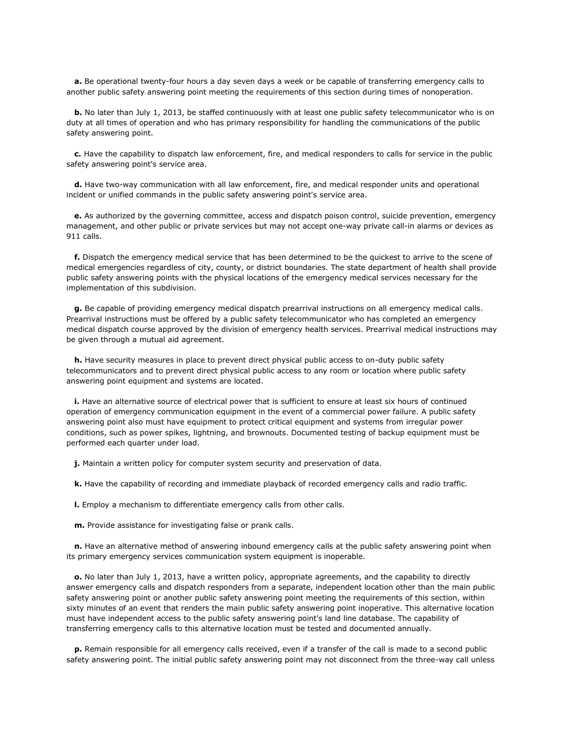**a.** Be operational twenty-four hours a day seven days a week or be capable of transferring emergency calls to another public safety answering point meeting the requirements of this section during times of nonoperation.

**b.** No later than July 1, 2013, be staffed continuously with at least one public safety telecommunicator who is on duty at all times of operation and who has primary responsibility for handling the communications of the public safety answering point.

 **c.** Have the capability to dispatch law enforcement, fire, and medical responders to calls for service in the public safety answering point's service area.

 **d.** Have two-way communication with all law enforcement, fire, and medical responder units and operational incident or unified commands in the public safety answering point's service area.

 **e.** As authorized by the governing committee, access and dispatch poison control, suicide prevention, emergency management, and other public or private services but may not accept one-way private call-in alarms or devices as 911 calls.

 **f.** Dispatch the emergency medical service that has been determined to be the quickest to arrive to the scene of medical emergencies regardless of city, county, or district boundaries. The state department of health shall provide public safety answering points with the physical locations of the emergency medical services necessary for the implementation of this subdivision.

 **g.** Be capable of providing emergency medical dispatch prearrival instructions on all emergency medical calls. Prearrival instructions must be offered by a public safety telecommunicator who has completed an emergency medical dispatch course approved by the division of emergency health services. Prearrival medical instructions may be given through a mutual aid agreement.

 **h.** Have security measures in place to prevent direct physical public access to on-duty public safety telecommunicators and to prevent direct physical public access to any room or location where public safety answering point equipment and systems are located.

 **i.** Have an alternative source of electrical power that is sufficient to ensure at least six hours of continued operation of emergency communication equipment in the event of a commercial power failure. A public safety answering point also must have equipment to protect critical equipment and systems from irregular power conditions, such as power spikes, lightning, and brownouts. Documented testing of backup equipment must be performed each quarter under load.

**j.** Maintain a written policy for computer system security and preservation of data.

**k.** Have the capability of recording and immediate playback of recorded emergency calls and radio traffic.

**l.** Employ a mechanism to differentiate emergency calls from other calls.

**m.** Provide assistance for investigating false or prank calls.

 **n.** Have an alternative method of answering inbound emergency calls at the public safety answering point when its primary emergency services communication system equipment is inoperable.

 **o.** No later than July 1, 2013, have a written policy, appropriate agreements, and the capability to directly answer emergency calls and dispatch responders from a separate, independent location other than the main public safety answering point or another public safety answering point meeting the requirements of this section, within sixty minutes of an event that renders the main public safety answering point inoperative. This alternative location must have independent access to the public safety answering point's land line database. The capability of transferring emergency calls to this alternative location must be tested and documented annually.

 **p.** Remain responsible for all emergency calls received, even if a transfer of the call is made to a second public safety answering point. The initial public safety answering point may not disconnect from the three-way call unless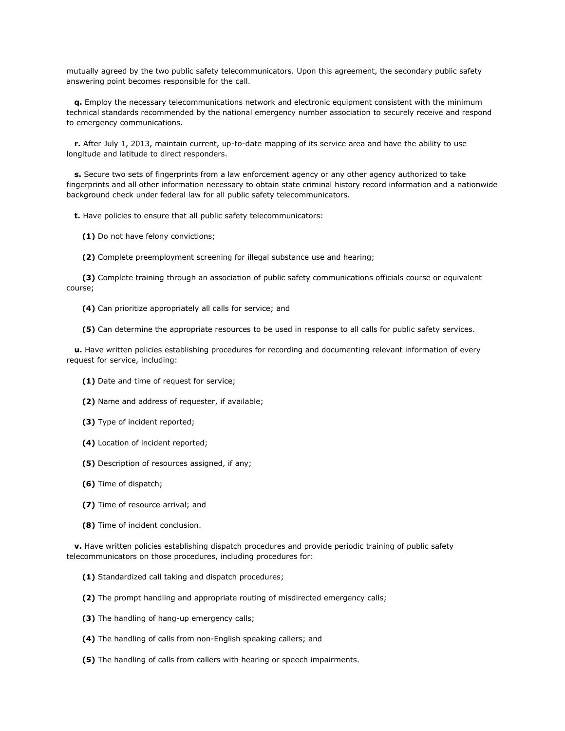mutually agreed by the two public safety telecommunicators. Upon this agreement, the secondary public safety answering point becomes responsible for the call.

 **q.** Employ the necessary telecommunications network and electronic equipment consistent with the minimum technical standards recommended by the national emergency number association to securely receive and respond to emergency communications.

 **r.** After July 1, 2013, maintain current, up-to-date mapping of its service area and have the ability to use longitude and latitude to direct responders.

**s.** Secure two sets of fingerprints from a law enforcement agency or any other agency authorized to take fingerprints and all other information necessary to obtain state criminal history record information and a nationwide background check under federal law for all public safety telecommunicators.

**t.** Have policies to ensure that all public safety telecommunicators:

**(1)** Do not have felony convictions;

**(2)** Complete preemployment screening for illegal substance use and hearing;

 **(3)** Complete training through an association of public safety communications officials course or equivalent course;

**(4)** Can prioritize appropriately all calls for service; and

**(5)** Can determine the appropriate resources to be used in response to all calls for public safety services.

 **u.** Have written policies establishing procedures for recording and documenting relevant information of every request for service, including:

- **(1)** Date and time of request for service;
- **(2)** Name and address of requester, if available;
- **(3)** Type of incident reported;
- **(4)** Location of incident reported;
- **(5)** Description of resources assigned, if any;
- **(6)** Time of dispatch;
- **(7)** Time of resource arrival; and
- **(8)** Time of incident conclusion.

**v.** Have written policies establishing dispatch procedures and provide periodic training of public safety telecommunicators on those procedures, including procedures for:

- **(1)** Standardized call taking and dispatch procedures;
- **(2)** The prompt handling and appropriate routing of misdirected emergency calls;
- **(3)** The handling of hang-up emergency calls;
- **(4)** The handling of calls from non-English speaking callers; and
- **(5)** The handling of calls from callers with hearing or speech impairments.